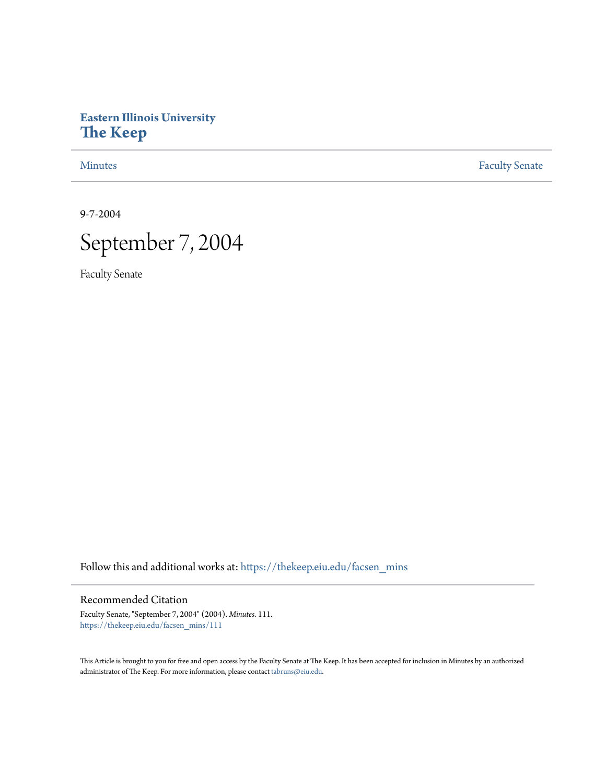# **Eastern Illinois University [The Keep](https://thekeep.eiu.edu?utm_source=thekeep.eiu.edu%2Ffacsen_mins%2F111&utm_medium=PDF&utm_campaign=PDFCoverPages)**

[Minutes](https://thekeep.eiu.edu/facsen_mins?utm_source=thekeep.eiu.edu%2Ffacsen_mins%2F111&utm_medium=PDF&utm_campaign=PDFCoverPages) **[Faculty Senate](https://thekeep.eiu.edu/fac_senate?utm_source=thekeep.eiu.edu%2Ffacsen_mins%2F111&utm_medium=PDF&utm_campaign=PDFCoverPages)** 

9-7-2004



Faculty Senate

Follow this and additional works at: [https://thekeep.eiu.edu/facsen\\_mins](https://thekeep.eiu.edu/facsen_mins?utm_source=thekeep.eiu.edu%2Ffacsen_mins%2F111&utm_medium=PDF&utm_campaign=PDFCoverPages)

# Recommended Citation

Faculty Senate, "September 7, 2004" (2004). *Minutes*. 111. [https://thekeep.eiu.edu/facsen\\_mins/111](https://thekeep.eiu.edu/facsen_mins/111?utm_source=thekeep.eiu.edu%2Ffacsen_mins%2F111&utm_medium=PDF&utm_campaign=PDFCoverPages)

This Article is brought to you for free and open access by the Faculty Senate at The Keep. It has been accepted for inclusion in Minutes by an authorized administrator of The Keep. For more information, please contact [tabruns@eiu.edu.](mailto:tabruns@eiu.edu)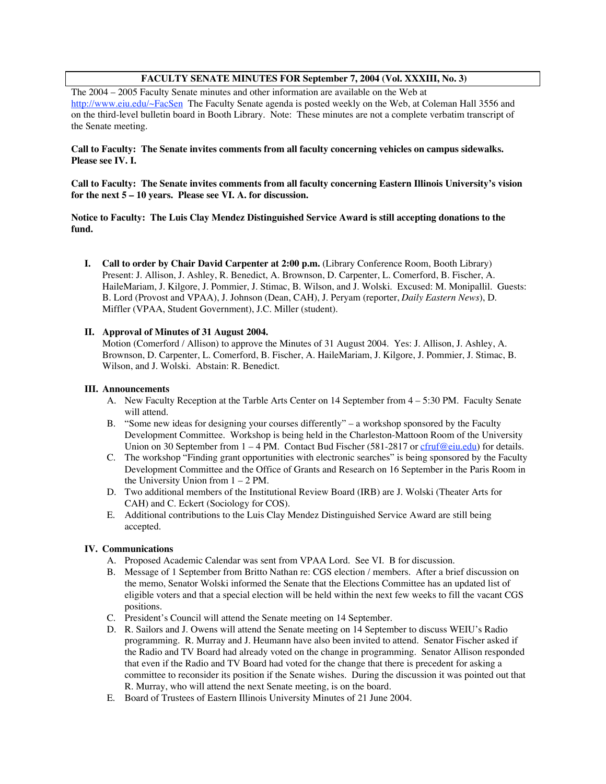## **FACULTY SENATE MINUTES FOR September 7, 2004 (Vol. XXXIII, No. 3)**

The 2004 – 2005 Faculty Senate minutes and other information are available on the Web at http://www.eiu.edu/~FacSen The Faculty Senate agenda is posted weekly on the Web, at Coleman Hall 3556 and on the third-level bulletin board in Booth Library. Note: These minutes are not a complete verbatim transcript of the Senate meeting.

### **Call to Faculty: The Senate invites comments from all faculty concerning vehicles on campus sidewalks. Please see IV. I.**

**Call to Faculty: The Senate invites comments from all faculty concerning Eastern Illinois University's vision for the next 5 – 10 years. Please see VI. A. for discussion.**

**Notice to Faculty: The Luis Clay Mendez Distinguished Service Award is still accepting donations to the fund.**

**I. Call to order by Chair David Carpenter at 2:00 p.m.** (Library Conference Room, Booth Library) Present: J. Allison, J. Ashley, R. Benedict, A. Brownson, D. Carpenter, L. Comerford, B. Fischer, A. HaileMariam, J. Kilgore, J. Pommier, J. Stimac, B. Wilson, and J. Wolski. Excused: M. Monipallil. Guests: B. Lord (Provost and VPAA), J. Johnson (Dean, CAH), J. Peryam (reporter, *Daily Eastern News*), D. Miffler (VPAA, Student Government), J.C. Miller (student).

## **II. Approval of Minutes of 31 August 2004.**

Motion (Comerford / Allison) to approve the Minutes of 31 August 2004. Yes: J. Allison, J. Ashley, A. Brownson, D. Carpenter, L. Comerford, B. Fischer, A. HaileMariam, J. Kilgore, J. Pommier, J. Stimac, B. Wilson, and J. Wolski. Abstain: R. Benedict.

### **III. Announcements**

- A. New Faculty Reception at the Tarble Arts Center on 14 September from 4 5:30 PM. Faculty Senate will attend.
- B. "Some new ideas for designing your courses differently" a workshop sponsored by the Faculty Development Committee. Workshop is being held in the Charleston-Mattoon Room of the University Union on 30 September from  $1 - 4$  PM. Contact Bud Fischer (581-2817 or  $\frac{c$ fruf@eiu.edu) for details.
- C. The workshop "Finding grant opportunities with electronic searches" is being sponsored by the Faculty Development Committee and the Office of Grants and Research on 16 September in the Paris Room in the University Union from  $1 - 2$  PM.
- D. Two additional members of the Institutional Review Board (IRB) are J. Wolski (Theater Arts for CAH) and C. Eckert (Sociology for COS).
- E. Additional contributions to the Luis Clay Mendez Distinguished Service Award are still being accepted.

### **IV. Communications**

- A. Proposed Academic Calendar was sent from VPAA Lord. See VI. B for discussion.
- B. Message of 1 September from Britto Nathan re: CGS election / members. After a brief discussion on the memo, Senator Wolski informed the Senate that the Elections Committee has an updated list of eligible voters and that a special election will be held within the next few weeks to fill the vacant CGS positions.
- C. President's Council will attend the Senate meeting on 14 September.
- D. R. Sailors and J. Owens will attend the Senate meeting on 14 September to discuss WEIU's Radio programming. R. Murray and J. Heumann have also been invited to attend. Senator Fischer asked if the Radio and TV Board had already voted on the change in programming. Senator Allison responded that even if the Radio and TV Board had voted for the change that there is precedent for asking a committee to reconsider its position if the Senate wishes. During the discussion it was pointed out that R. Murray, who will attend the next Senate meeting, is on the board.
- E. Board of Trustees of Eastern Illinois University Minutes of 21 June 2004.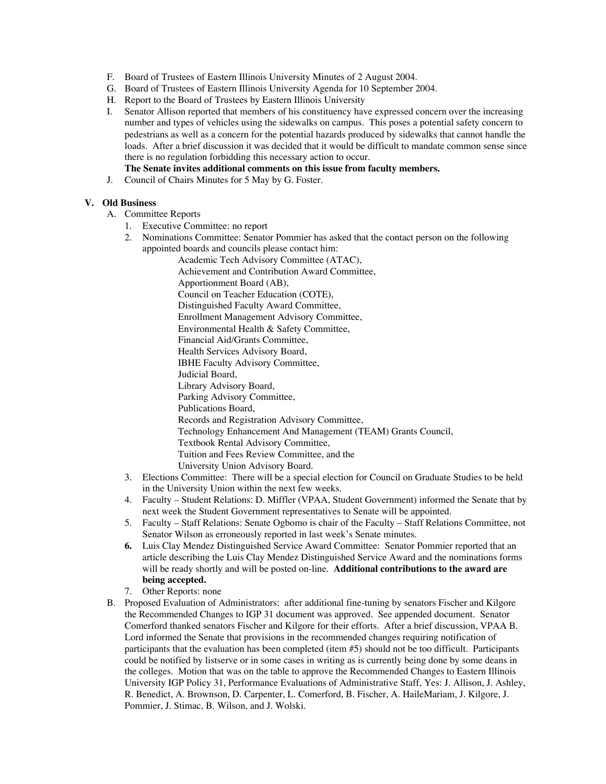- F. Board of Trustees of Eastern Illinois University Minutes of 2 August 2004.
- G. Board of Trustees of Eastern Illinois University Agenda for 10 September 2004.
- H. Report to the Board of Trustees by Eastern Illinois University
- I. Senator Allison reported that members of his constituency have expressed concern over the increasing number and types of vehicles using the sidewalks on campus. This poses a potential safety concern to pedestrians as well as a concern for the potential hazards produced by sidewalks that cannot handle the loads. After a brief discussion it was decided that it would be difficult to mandate common sense since there is no regulation forbidding this necessary action to occur. **The Senate invites additional comments on this issue from faculty members.**
- J. Council of Chairs Minutes for 5 May by G. Foster.

## **V. Old Business**

- A. Committee Reports
	- 1. Executive Committee: no report
	- 2. Nominations Committee: Senator Pommier has asked that the contact person on the following appointed boards and councils please contact him:

Academic Tech Advisory Committee (ATAC), Achievement and Contribution Award Committee, Apportionment Board (AB), Council on Teacher Education (COTE), Distinguished Faculty Award Committee, Enrollment Management Advisory Committee, Environmental Health & Safety Committee, Financial Aid/Grants Committee, Health Services Advisory Board, IBHE Faculty Advisory Committee, Judicial Board, Library Advisory Board, Parking Advisory Committee, Publications Board, Records and Registration Advisory Committee, Technology Enhancement And Management (TEAM) Grants Council, Textbook Rental Advisory Committee, Tuition and Fees Review Committee, and the University Union Advisory Board.

- 3. Elections Committee: There will be a special election for Council on Graduate Studies to be held in the University Union within the next few weeks.
- 4. Faculty Student Relations: D. Miffler (VPAA, Student Government) informed the Senate that by next week the Student Government representatives to Senate will be appointed.
- 5. Faculty Staff Relations: Senate Ogbomo is chair of the Faculty Staff Relations Committee, not Senator Wilson as erroneously reported in last week's Senate minutes.
- **6.** Luis Clay Mendez Distinguished Service Award Committee: Senator Pommier reported that an article describing the Luis Clay Mendez Distinguished Service Award and the nominations forms will be ready shortly and will be posted on-line. **Additional contributions to the award are being accepted.**
- 7. Other Reports: none
- B. Proposed Evaluation of Administrators: after additional fine-tuning by senators Fischer and Kilgore the Recommended Changes to IGP 31 document was approved. See appended document. Senator Comerford thanked senators Fischer and Kilgore for their efforts. After a brief discussion, VPAA B. Lord informed the Senate that provisions in the recommended changes requiring notification of participants that the evaluation has been completed (item #5) should not be too difficult. Participants could be notified by listserve or in some cases in writing as is currently being done by some deans in the colleges. Motion that was on the table to approve the Recommended Changes to Eastern Illinois University IGP Policy 31, Performance Evaluations of Administrative Staff, Yes: J. Allison, J. Ashley, R. Benedict, A. Brownson, D. Carpenter, L. Comerford, B. Fischer, A. HaileMariam, J. Kilgore, J. Pommier, J. Stimac, B. Wilson, and J. Wolski.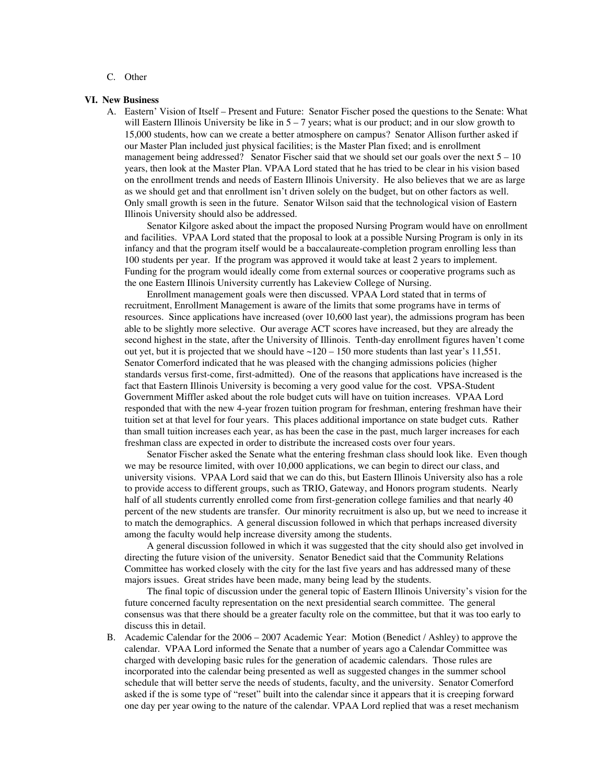C. Other

#### **VI. New Business**

A. Eastern' Vision of Itself – Present and Future: Senator Fischer posed the questions to the Senate: What will Eastern Illinois University be like in  $5 - 7$  years; what is our product; and in our slow growth to 15,000 students, how can we create a better atmosphere on campus? Senator Allison further asked if our Master Plan included just physical facilities; is the Master Plan fixed; and is enrollment management being addressed? Senator Fischer said that we should set our goals over the next  $5 - 10$ years, then look at the Master Plan. VPAA Lord stated that he has tried to be clear in his vision based on the enrollment trends and needs of Eastern Illinois University. He also believes that we are as large as we should get and that enrollment isn't driven solely on the budget, but on other factors as well. Only small growth is seen in the future. Senator Wilson said that the technological vision of Eastern Illinois University should also be addressed.

Senator Kilgore asked about the impact the proposed Nursing Program would have on enrollment and facilities. VPAA Lord stated that the proposal to look at a possible Nursing Program is only in its infancy and that the program itself would be a baccalaureate-completion program enrolling less than 100 students per year. If the program was approved it would take at least 2 years to implement. Funding for the program would ideally come from external sources or cooperative programs such as the one Eastern Illinois University currently has Lakeview College of Nursing.

Enrollment management goals were then discussed. VPAA Lord stated that in terms of recruitment, Enrollment Management is aware of the limits that some programs have in terms of resources. Since applications have increased (over 10,600 last year), the admissions program has been able to be slightly more selective. Our average ACT scores have increased, but they are already the second highest in the state, after the University of Illinois. Tenth-day enrollment figures haven't come out yet, but it is projected that we should have  $\sim$ 120 – 150 more students than last year's 11,551. Senator Comerford indicated that he was pleased with the changing admissions policies (higher standards versus first-come, first-admitted). One of the reasons that applications have increased is the fact that Eastern Illinois University is becoming a very good value for the cost. VPSA-Student Government Miffler asked about the role budget cuts will have on tuition increases. VPAA Lord responded that with the new 4-year frozen tuition program for freshman, entering freshman have their tuition set at that level for four years. This places additional importance on state budget cuts. Rather than small tuition increases each year, as has been the case in the past, much larger increases for each freshman class are expected in order to distribute the increased costs over four years.

Senator Fischer asked the Senate what the entering freshman class should look like. Even though we may be resource limited, with over 10,000 applications, we can begin to direct our class, and university visions. VPAA Lord said that we can do this, but Eastern Illinois University also has a role to provide access to different groups, such as TRIO, Gateway, and Honors program students. Nearly half of all students currently enrolled come from first-generation college families and that nearly 40 percent of the new students are transfer. Our minority recruitment is also up, but we need to increase it to match the demographics. A general discussion followed in which that perhaps increased diversity among the faculty would help increase diversity among the students.

A general discussion followed in which it was suggested that the city should also get involved in directing the future vision of the university. Senator Benedict said that the Community Relations Committee has worked closely with the city for the last five years and has addressed many of these majors issues. Great strides have been made, many being lead by the students.

The final topic of discussion under the general topic of Eastern Illinois University's vision for the future concerned faculty representation on the next presidential search committee. The general consensus was that there should be a greater faculty role on the committee, but that it was too early to discuss this in detail.

B. Academic Calendar for the 2006 – 2007 Academic Year: Motion (Benedict / Ashley) to approve the calendar. VPAA Lord informed the Senate that a number of years ago a Calendar Committee was charged with developing basic rules for the generation of academic calendars. Those rules are incorporated into the calendar being presented as well as suggested changes in the summer school schedule that will better serve the needs of students, faculty, and the university. Senator Comerford asked if the is some type of "reset" built into the calendar since it appears that it is creeping forward one day per year owing to the nature of the calendar. VPAA Lord replied that was a reset mechanism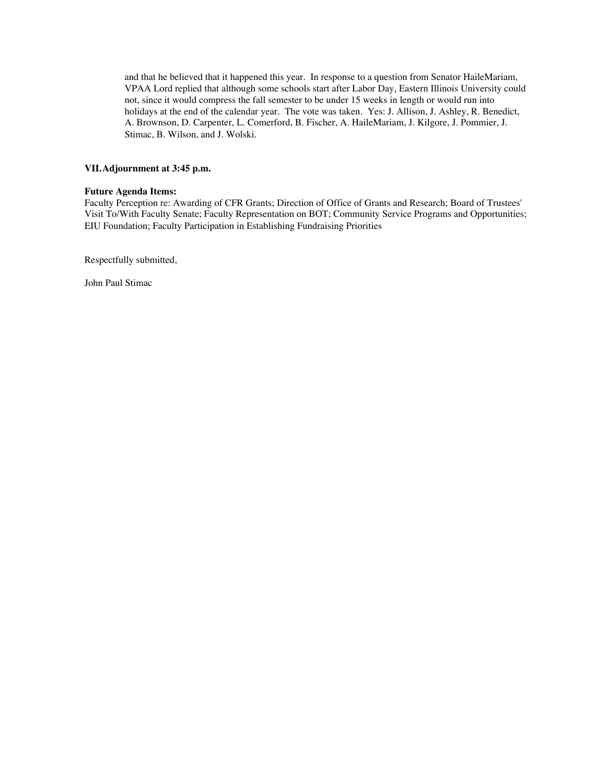and that he believed that it happened this year. In response to a question from Senator HaileMariam, VPAA Lord replied that although some schools start after Labor Day, Eastern Illinois University could not, since it would compress the fall semester to be under 15 weeks in length or would run into holidays at the end of the calendar year. The vote was taken. Yes: J. Allison, J. Ashley, R. Benedict, A. Brownson, D. Carpenter, L. Comerford, B. Fischer, A. HaileMariam, J. Kilgore, J. Pommier, J. Stimac, B. Wilson, and J. Wolski.

### **VII.Adjournment at 3:45 p.m.**

#### **Future Agenda Items:**

Faculty Perception re: Awarding of CFR Grants; Direction of Office of Grants and Research; Board of Trustees' Visit To/With Faculty Senate; Faculty Representation on BOT; Community Service Programs and Opportunities; EIU Foundation; Faculty Participation in Establishing Fundraising Priorities

Respectfully submitted,

John Paul Stimac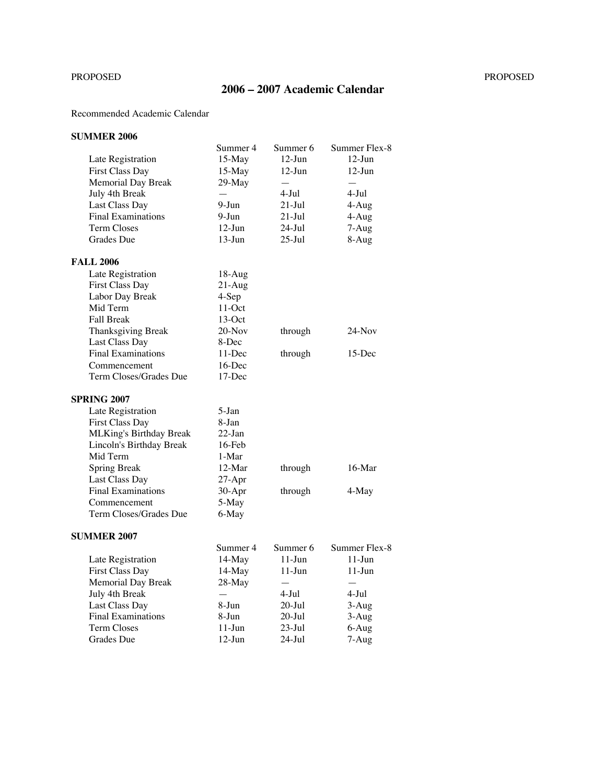# PROPOSED PROPOSED

# **2006 – 2007 Academic Calendar**

# Recommended Academic Calendar

# **SUMMER 2006**

|                                | Summer 4                 | Summer 6                 | Summer Flex-8            |
|--------------------------------|--------------------------|--------------------------|--------------------------|
| Late Registration              | $15-May$                 | $12-Jun$                 | $12-Jun$                 |
| <b>First Class Day</b>         | 15-May                   | $12-Jun$                 | $12-Jun$                 |
| Memorial Day Break             | 29-May                   | $\overline{\phantom{0}}$ | $\overline{\phantom{0}}$ |
| July 4th Break                 | $\overline{\phantom{0}}$ | 4-Jul                    | $4 -$ Jul                |
| Last Class Day                 | 9-Jun                    | $21$ -Jul                | 4-Aug                    |
| <b>Final Examinations</b>      | $9-Jun$                  | $21$ -Jul                | 4-Aug                    |
| <b>Term Closes</b>             | $12-Jun$                 | 24-Jul                   | 7-Aug                    |
| Grades Due                     | $13-Jun$                 | $25$ -Jul                | 8-Aug                    |
| <b>FALL 2006</b>               |                          |                          |                          |
|                                |                          |                          |                          |
| Late Registration              | 18-Aug                   |                          |                          |
| <b>First Class Day</b>         | $21-Aug$                 |                          |                          |
| Labor Day Break                | 4-Sep                    |                          |                          |
| Mid Term                       | $11-Oct$                 |                          |                          |
| <b>Fall Break</b>              | $13-Oct$                 |                          |                          |
| Thanksgiving Break             | $20-Nov$                 | through                  | $24-Nov$                 |
| Last Class Day                 | 8-Dec                    |                          |                          |
| <b>Final Examinations</b>      | $11$ -Dec                | through                  | $15$ -Dec                |
| Commencement                   | 16-Dec                   |                          |                          |
| Term Closes/Grades Due         | 17-Dec                   |                          |                          |
| <b>SPRING 2007</b>             |                          |                          |                          |
| Late Registration              | $5-Ian$                  |                          |                          |
| First Class Day                | 8-Jan                    |                          |                          |
| <b>MLKing's Birthday Break</b> | $22-Ian$                 |                          |                          |
| Lincoln's Birthday Break       | $16$ -Feb                |                          |                          |
|                                |                          |                          |                          |
| Mid Term                       | 1-Mar                    |                          |                          |
| <b>Spring Break</b>            | $12-Mar$                 | through                  | $16-Mar$                 |
| Last Class Day                 | $27-Apr$                 |                          |                          |
| <b>Final Examinations</b>      | 30-Apr                   | through                  | 4-May                    |
| Commencement                   | 5-May                    |                          |                          |
| Term Closes/Grades Due         | 6-May                    |                          |                          |
| <b>SUMMER 2007</b>             |                          |                          |                          |
|                                | Summer 4                 | Summer 6                 | Summer Flex-8            |
| Late Registration              | 14-May                   | $11$ -Jun                | $11-J$ un                |
| <b>First Class Day</b>         | 14-May                   | $11-J$ un                | $11-J$ un                |
| Memorial Day Break             | 28-May                   |                          |                          |
| July 4th Break                 |                          | $4-Jul$                  | $4-Jul$                  |
| Last Class Day                 | 8-Jun                    | $20 -$ Jul               | $3-Aug$                  |
| <b>Final Examinations</b>      | 8-Jun                    | $20 -$ Jul               | $3-Aug$                  |
| <b>Term Closes</b>             | $11-J$ un                | $23$ -Jul                | 6-Aug                    |
| Grades Due                     | $12$ -Jun                | $24$ -Jul                | 7-Aug                    |
|                                |                          |                          |                          |